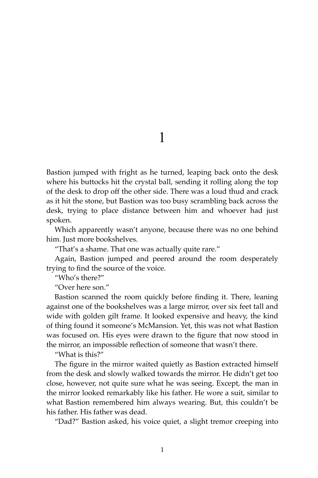1

Bastion jumped with fright as he turned, leaping back onto the desk where his buttocks hit the crystal ball, sending it rolling along the top of the desk to drop off the other side. There was a loud thud and crack as it hit the stone, but Bastion was too busy scrambling back across the desk, trying to place distance between him and whoever had just spoken.

Which apparently wasn't anyone, because there was no one behind him. Just more bookshelves.

"That's a shame. That one was actually quite rare."

Again, Bastion jumped and peered around the room desperately trying to find the source of the voice.

"Who's there?"

"Over here son."

Bastion scanned the room quickly before finding it. There, leaning against one of the bookshelves was a large mirror, over six feet tall and wide with golden gilt frame. It looked expensive and heavy, the kind of thing found it someone's McMansion. Yet, this was not what Bastion was focused on. His eyes were drawn to the figure that now stood in the mirror, an impossible reflection of someone that wasn't there.

"What is this?"

The figure in the mirror waited quietly as Bastion extracted himself from the desk and slowly walked towards the mirror. He didn't get too close, however, not quite sure what he was seeing. Except, the man in the mirror looked remarkably like his father. He wore a suit, similar to what Bastion remembered him always wearing. But, this couldn't be his father. His father was dead.

"Dad?" Bastion asked, his voice quiet, a slight tremor creeping into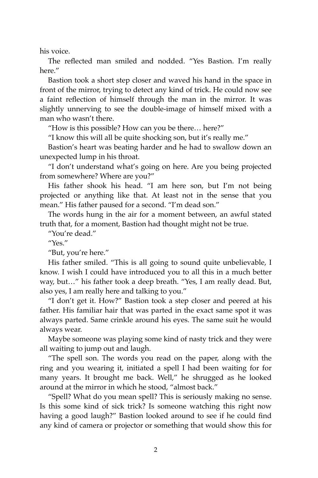his voice.

The reflected man smiled and nodded. "Yes Bastion. I'm really here."

Bastion took a short step closer and waved his hand in the space in front of the mirror, trying to detect any kind of trick. He could now see a faint reflection of himself through the man in the mirror. It was slightly unnerving to see the double-image of himself mixed with a man who wasn't there.

"How is this possible? How can you be there… here?"

"I know this will all be quite shocking son, but it's really me."

Bastion's heart was beating harder and he had to swallow down an unexpected lump in his throat.

"I don't understand what's going on here. Are you being projected from somewhere? Where are you?"

His father shook his head. "I am here son, but I'm not being projected or anything like that. At least not in the sense that you mean." His father paused for a second. "I'm dead son."

The words hung in the air for a moment between, an awful stated truth that, for a moment, Bastion had thought might not be true.

"You're dead."

"Yes."

"But, you're here."

His father smiled. "This is all going to sound quite unbelievable, I know. I wish I could have introduced you to all this in a much better way, but…" his father took a deep breath. "Yes, I am really dead. But, also yes, I am really here and talking to you."

"I don't get it. How?" Bastion took a step closer and peered at his father. His familiar hair that was parted in the exact same spot it was always parted. Same crinkle around his eyes. The same suit he would always wear.

Maybe someone was playing some kind of nasty trick and they were all waiting to jump out and laugh.

"The spell son. The words you read on the paper, along with the ring and you wearing it, initiated a spell I had been waiting for for many years. It brought me back. Well," he shrugged as he looked around at the mirror in which he stood, "almost back."

"Spell? What do you mean spell? This is seriously making no sense. Is this some kind of sick trick? Is someone watching this right now having a good laugh?" Bastion looked around to see if he could find any kind of camera or projector or something that would show this for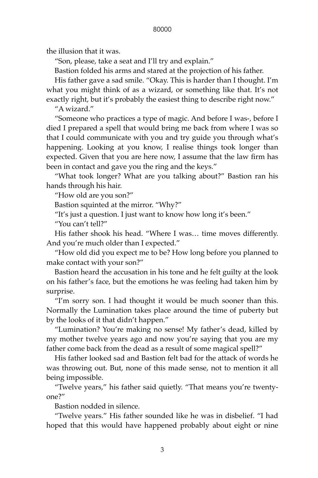the illusion that it was.

"Son, please, take a seat and I'll try and explain."

Bastion folded his arms and stared at the projection of his father.

His father gave a sad smile. "Okay. This is harder than I thought. I'm what you might think of as a wizard, or something like that. It's not exactly right, but it's probably the easiest thing to describe right now."

"A wizard."

"Someone who practices a type of magic. And before I was-, before I died I prepared a spell that would bring me back from where I was so that I could communicate with you and try guide you through what's happening. Looking at you know, I realise things took longer than expected. Given that you are here now, I assume that the law firm has been in contact and gave you the ring and the keys."

"What took longer? What are you talking about?" Bastion ran his hands through his hair.

"How old are you son?"

Bastion squinted at the mirror. "Why?"

"It's just a question. I just want to know how long it's been."

"You can't tell?"

His father shook his head. "Where I was… time moves differently. And you're much older than I expected."

"How old did you expect me to be? How long before you planned to make contact with your son?"

Bastion heard the accusation in his tone and he felt guilty at the look on his father's face, but the emotions he was feeling had taken him by surprise.

"I'm sorry son. I had thought it would be much sooner than this. Normally the Lumination takes place around the time of puberty but by the looks of it that didn't happen."

"Lumination? You're making no sense! My father's dead, killed by my mother twelve years ago and now you're saying that you are my father come back from the dead as a result of some magical spell?"

His father looked sad and Bastion felt bad for the attack of words he was throwing out. But, none of this made sense, not to mention it all being impossible.

"Twelve years," his father said quietly. "That means you're twentyone?"

Bastion nodded in silence.

"Twelve years." His father sounded like he was in disbelief. "I had hoped that this would have happened probably about eight or nine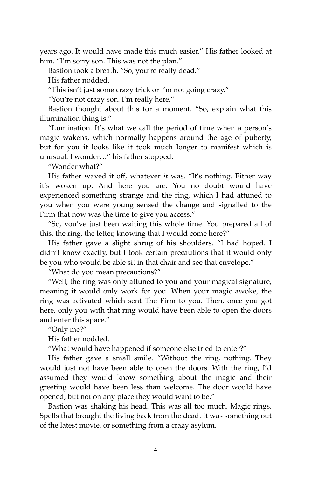years ago. It would have made this much easier." His father looked at him. "I'm sorry son. This was not the plan."

Bastion took a breath. "So, you're really dead."

His father nodded.

"This isn't just some crazy trick or I'm not going crazy."

"You're not crazy son. I'm really here."

Bastion thought about this for a moment. "So, explain what this illumination thing is."

"Lumination. It's what we call the period of time when a person's magic wakens, which normally happens around the age of puberty, but for you it looks like it took much longer to manifest which is unusual. I wonder…" his father stopped.

"Wonder what?"

His father waved it off, whatever *it* was. "It's nothing. Either way it's woken up. And here you are. You no doubt would have experienced something strange and the ring, which I had attuned to you when you were young sensed the change and signalled to the Firm that now was the time to give you access."

"So, you've just been waiting this whole time. You prepared all of this, the ring, the letter, knowing that I would come here?"

His father gave a slight shrug of his shoulders. "I had hoped. I didn't know exactly, but I took certain precautions that it would only be you who would be able sit in that chair and see that envelope."

"What do you mean precautions?"

"Well, the ring was only attuned to you and your magical signature, meaning it would only work for you. When your magic awoke, the ring was activated which sent The Firm to you. Then, once you got here, only you with that ring would have been able to open the doors and enter this space."

"Only me?"

His father nodded.

"What would have happened if someone else tried to enter?"

His father gave a small smile. "Without the ring, nothing. They would just not have been able to open the doors. With the ring, I'd assumed they would know something about the magic and their greeting would have been less than welcome. The door would have opened, but not on any place they would want to be."

Bastion was shaking his head. This was all too much. Magic rings. Spells that brought the living back from the dead. It was something out of the latest movie, or something from a crazy asylum.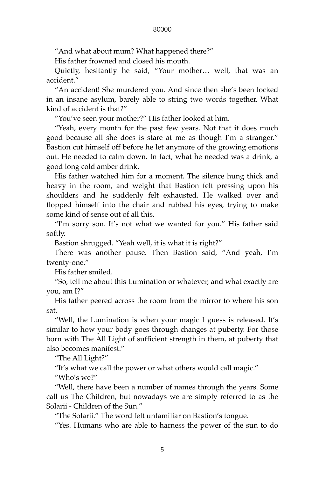"And what about mum? What happened there?"

His father frowned and closed his mouth.

Quietly, hesitantly he said, "Your mother… well, that was an accident."

"An accident! She murdered you. And since then she's been locked in an insane asylum, barely able to string two words together. What kind of accident is that?"

"You've seen your mother?" His father looked at him.

"Yeah, every month for the past few years. Not that it does much good because all she does is stare at me as though I'm a stranger." Bastion cut himself off before he let anymore of the growing emotions out. He needed to calm down. In fact, what he needed was a drink, a good long cold amber drink.

His father watched him for a moment. The silence hung thick and heavy in the room, and weight that Bastion felt pressing upon his shoulders and he suddenly felt exhausted. He walked over and flopped himself into the chair and rubbed his eyes, trying to make some kind of sense out of all this.

"I'm sorry son. It's not what we wanted for you." His father said softly.

Bastion shrugged. "Yeah well, it is what it is right?"

There was another pause. Then Bastion said, "And yeah, I'm twenty-one."

His father smiled.

"So, tell me about this Lumination or whatever, and what exactly are you, am I?"

His father peered across the room from the mirror to where his son sat.

"Well, the Lumination is when your magic I guess is released. It's similar to how your body goes through changes at puberty. For those born with The All Light of sufficient strength in them, at puberty that also becomes manifest."

"The All Light?"

"It's what we call the power or what others would call magic."

"Who's we?"

"Well, there have been a number of names through the years. Some call us The Children, but nowadays we are simply referred to as the Solarii - Children of the Sun."

"The Solarii." The word felt unfamiliar on Bastion's tongue.

"Yes. Humans who are able to harness the power of the sun to do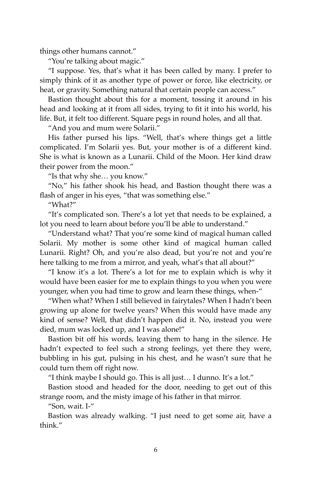things other humans cannot."

"You're talking about magic."

"I suppose. Yes, that's what it has been called by many. I prefer to simply think of it as another type of power or force, like electricity, or heat, or gravity. Something natural that certain people can access."

Bastion thought about this for a moment, tossing it around in his head and looking at it from all sides, trying to fit it into his world, his life. But, it felt too different. Square pegs in round holes, and all that.

"And you and mum were Solarii."

His father pursed his lips. "Well, that's where things get a little complicated. I'm Solarii yes. But, your mother is of a different kind. She is what is known as a Lunarii. Child of the Moon. Her kind draw their power from the moon."

"Is that why she… you know."

"No," his father shook his head, and Bastion thought there was a flash of anger in his eyes, "that was something else."

"What?"

"It's complicated son. There's a lot yet that needs to be explained, a lot you need to learn about before you'll be able to understand."

"Understand what? That you're some kind of magical human called Solarii. My mother is some other kind of magical human called Lunarii. Right? Oh, and you're also dead, but you're not and you're here talking to me from a mirror, and yeah, what's that all about?"

"I know it's a lot. There's a lot for me to explain which is why it would have been easier for me to explain things to you when you were younger, when you had time to grow and learn these things, when-"

"When what? When I still believed in fairytales? When I hadn't been growing up alone for twelve years? When this would have made any kind of sense? Well, that didn't happen did it. No, instead you were died, mum was locked up, and I was alone!"

Bastion bit off his words, leaving them to hang in the silence. He hadn't expected to feel such a strong feelings, yet there they were, bubbling in his gut, pulsing in his chest, and he wasn't sure that he could turn them off right now.

"I think maybe I should go. This is all just… I dunno. It's a lot."

Bastion stood and headed for the door, needing to get out of this strange room, and the misty image of his father in that mirror.

"Son, wait. I-"

Bastion was already walking. "I just need to get some air, have a think."